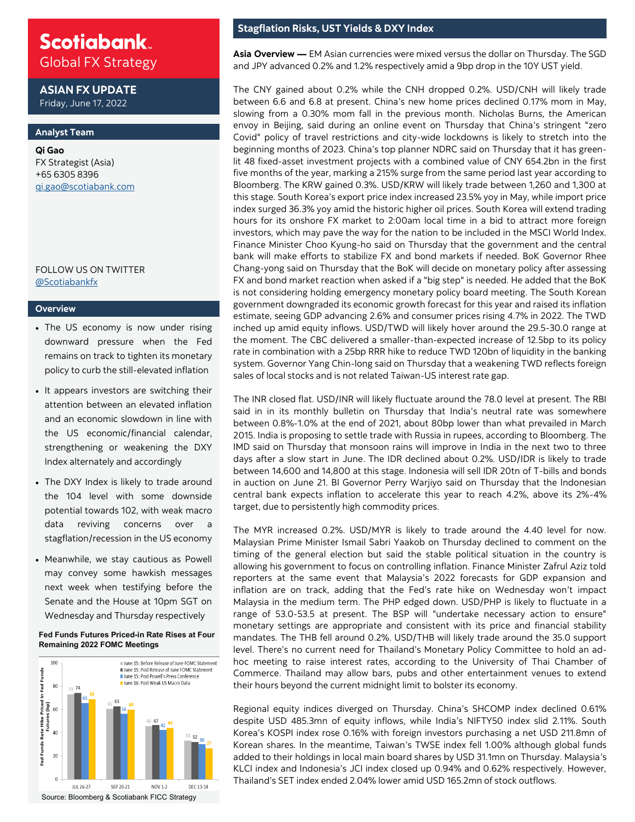# **Scotiabank**

Global FX Strategy

**ASIAN FX UPDATE** Friday, June 17, 2022

#### **Analyst Team**

**Qi Gao** FX Strategist (Asia) +65 6305 8396 [qi.gao@scotiabank.com](mailto:shaun.osborne@scotiabank.com)

#### FOLLOW US ON TWITTER [@Scotiabankfx](https://twitter.com/Scotiabankfx)

#### **Overview**

- The US economy is now under rising downward pressure when the Fed remains on track to tighten its monetary policy to curb the still-elevated inflation
- It appears investors are switching their attention between an elevated inflation and an economic slowdown in line with the US economic/financial calendar, strengthening or weakening the DXY Index alternately and accordingly
- The DXY Index is likely to trade around the 104 level with some downside potential towards 102, with weak macro data reviving concerns over stagflation/recession in the US economy
- Meanwhile, we stay cautious as Powell may convey some hawkish messages next week when testifying before the Senate and the House at 10pm SGT on Wednesday and Thursday respectively

#### **Fed Funds Futures Priced-in Rate Rises at Four Remaining 2022 FOMC Meetings**



### **Stagflation Risks, UST Yields & DXY Index**

**Asia Overview —** EM Asian currencies were mixed versus the dollar on Thursday. The SGD and JPY advanced 0.2% and 1.2% respectively amid a 9bp drop in the 10Y UST yield.

The CNY gained about 0.2% while the CNH dropped 0.2%. USD/CNH will likely trade between 6.6 and 6.8 at present. China's new home prices declined 0.17% mom in May, slowing from a 0.30% mom fall in the previous month. Nicholas Burns, the American envoy in Beijing, said during an online event on Thursday that China's stringent "zero Covid" policy of travel restrictions and city-wide lockdowns is likely to stretch into the beginning months of 2023. China's top planner NDRC said on Thursday that it has greenlit 48 fixed-asset investment projects with a combined value of CNY 654.2bn in the first five months of the year, marking a 215% surge from the same period last year according to Bloomberg. The KRW gained 0.3%. USD/KRW will likely trade between 1,260 and 1,300 at this stage. South Korea's export price index increased 23.5% yoy in May, while import price index surged 36.3% yoy amid the historic higher oil prices. South Korea will extend trading hours for its onshore FX market to 2:00am local time in a bid to attract more foreign investors, which may pave the way for the nation to be included in the MSCI World Index. Finance Minister Choo Kyung-ho said on Thursday that the government and the central bank will make efforts to stabilize FX and bond markets if needed. BoK Governor Rhee Chang-yong said on Thursday that the BoK will decide on monetary policy after assessing FX and bond market reaction when asked if a "big step" is needed. He added that the BoK is not considering holding emergency monetary policy board meeting. The South Korean government downgraded its economic growth forecast for this year and raised its inflation estimate, seeing GDP advancing 2.6% and consumer prices rising 4.7% in 2022. The TWD inched up amid equity inflows. USD/TWD will likely hover around the 29.5-30.0 range at the moment. The CBC delivered a smaller-than-expected increase of 12.5bp to its policy rate in combination with a 25bp RRR hike to reduce TWD 120bn of liquidity in the banking system. Governor Yang Chin-long said on Thursday that a weakening TWD reflects foreign sales of local stocks and is not related Taiwan-US interest rate gap.

The INR closed flat. USD/INR will likely fluctuate around the 78.0 level at present. The RBI said in in its monthly bulletin on Thursday that India's neutral rate was somewhere between 0.8%-1.0% at the end of 2021, about 80bp lower than what prevailed in March 2015. India is proposing to settle trade with Russia in rupees, according to Bloomberg. The IMD said on Thursday that monsoon rains will improve in India in the next two to three days after a slow start in June. The IDR declined about 0.2%. USD/IDR is likely to trade between 14,600 and 14,800 at this stage. Indonesia will sell IDR 20tn of T-bills and bonds in auction on June 21. BI Governor Perry Warjiyo said on Thursday that the Indonesian central bank expects inflation to accelerate this year to reach 4.2%, above its 2%-4% target, due to persistently high commodity prices.

The MYR increased 0.2%. USD/MYR is likely to trade around the 4.40 level for now. Malaysian Prime Minister Ismail Sabri Yaakob on Thursday declined to comment on the timing of the general election but said the stable political situation in the country is allowing his government to focus on controlling inflation. Finance Minister Zafrul Aziz told reporters at the same event that Malaysia's 2022 forecasts for GDP expansion and inflation are on track, adding that the Fed's rate hike on Wednesday won't impact Malaysia in the medium term. The PHP edged down. USD/PHP is likely to fluctuate in a range of 53.0-53.5 at present. The BSP will "undertake necessary action to ensure" monetary settings are appropriate and consistent with its price and financial stability mandates. The THB fell around 0.2%. USD/THB will likely trade around the 35.0 support level. There's no current need for Thailand's Monetary Policy Committee to hold an adhoc meeting to raise interest rates, according to the University of Thai Chamber of Commerce. Thailand may allow bars, pubs and other entertainment venues to extend their hours beyond the current midnight limit to bolster its economy.

Regional equity indices diverged on Thursday. China's SHCOMP index declined 0.61% despite USD 485.3mn of equity inflows, while India's NIFTY50 index slid 2.11%. South Korea's KOSPI index rose 0.16% with foreign investors purchasing a net USD 211.8mn of Korean shares. In the meantime, Taiwan's TWSE index fell 1.00% although global funds added to their holdings in local main board shares by USD 31.1mn on Thursday. Malaysia's KLCI index and Indonesia's JCI index closed up 0.94% and 0.62% respectively. However, Thailand's SET index ended 2.04% lower amid USD 165.2mn of stock outflows.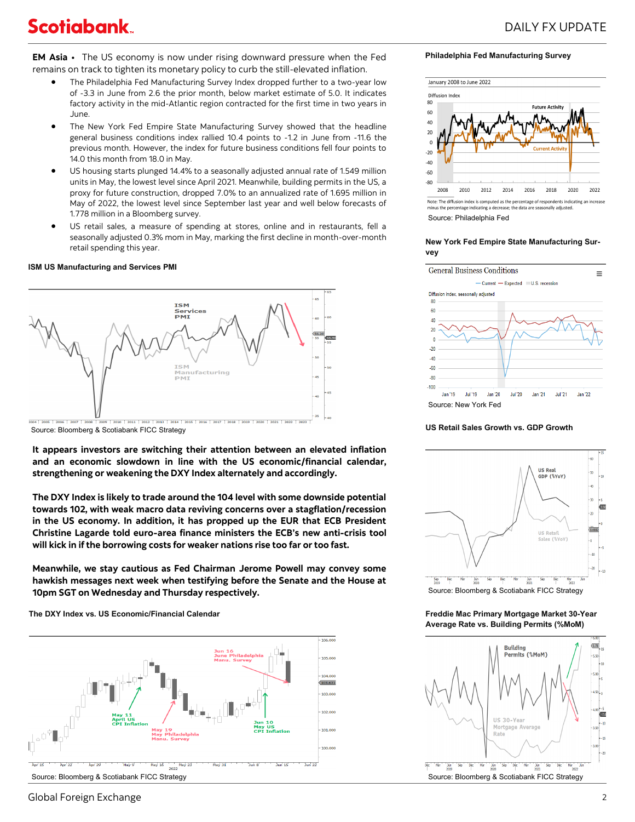## **Scotiabank**

**EM Asia •** The US economy is now under rising downward pressure when the Fed remains on track to tighten its monetary policy to curb the still-elevated inflation.

- The Philadelphia Fed Manufacturing Survey Index dropped further to a two-year low of -3.3 in June from 2.6 the prior month, below market estimate of 5.0. It indicates factory activity in the mid-Atlantic region contracted for the first time in two years in June.
- The New York Fed Empire State Manufacturing Survey showed that the headline general business conditions index rallied 10.4 points to -1.2 in June from -11.6 the previous month. However, the index for future business conditions fell four points to 14.0 this month from 18.0 in May.
- US housing starts plunged 14.4% to a seasonally adjusted annual rate of 1.549 million units in May, the lowest level since April 2021. Meanwhile, building permits in the US, a proxy for future construction, dropped 7.0% to an annualized rate of 1.695 million in May of 2022, the lowest level since September last year and well below forecasts of 1.778 million in a Bloomberg survey.
- US retail sales, a measure of spending at stores, online and in restaurants, fell a seasonally adjusted 0.3% mom in May, marking the first decline in month-over-month retail spending this year.

#### **ISM US Manufacturing and Services PMI**



Source: Bloomberg & Scotiabank FICC Strategy

**It appears investors are switching their attention between an elevated inflation and an economic slowdown in line with the US economic/financial calendar, strengthening or weakening the DXY Index alternately and accordingly.**

**The DXY Index is likely to trade around the 104 level with some downside potential towards 102, with weak macro data reviving concerns over a stagflation/recession in the US economy. In addition, it has propped up the EUR that ECB President Christine Lagarde told euro-area finance ministers the ECB's new anti-crisis tool will kick in if the borrowing costs for weaker nations rise too far or too fast.**

**Meanwhile, we stay cautious as Fed Chairman Jerome Powell may convey some hawkish messages next week when testifying before the Senate and the House at 10pm SGT on Wednesday and Thursday respectively.**

**The DXY Index vs. US Economic/Financial Calendar**



**Philadelphia Fed Manufacturing Survey**



e percentage indicating a decrease; Source: Philadelphia Fed

#### **New York Fed Empire State Manufacturing Survey**



#### **US Retail Sales Growth vs. GDP Growth**



Source: Bloomberg & Scotiabank FICC Strategy

**Freddie Mac Primary Mortgage Market 30-Year Average Rate vs. Building Permits (%MoM)**



### Global Foreign Exchange 2